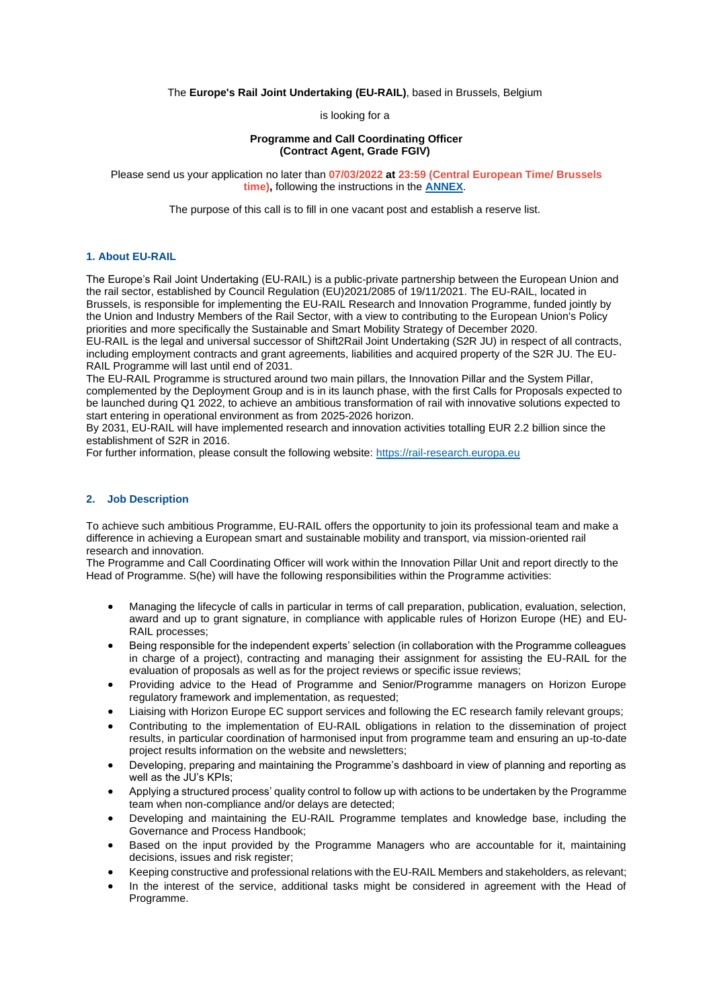The **Europe's Rail Joint Undertaking (EU-RAIL)**, based in Brussels, Belgium

is looking for a

### **Programme and Call Coordinating Officer (Contract Agent, Grade FGIV)**

Please send us your application no later than **07/03/2022 at 23:59 (Central European Time/ Brussels time),** following the instructions in the **[ANNEX](https://shift2rail.org/wp-content/uploads/2022/01/Annex-to-the-vacancy-notice_EU-RAIL.pdf)**.

The purpose of this call is to fill in one vacant post and establish a reserve list.

# **1. About EU-RAIL**

The Europe's Rail Joint Undertaking (EU-RAIL) is a public-private partnership between the European Union and the rail sector, established by Council Regulation (EU)2021/2085 of 19/11/2021. The EU-RAIL, located in Brussels, is responsible for implementing the EU-RAIL Research and Innovation Programme, funded jointly by the Union and Industry Members of the Rail Sector, with a view to contributing to the European Union's Policy priorities and more specifically the Sustainable and Smart Mobility Strategy of December 2020.

EU-RAIL is the legal and universal successor of Shift2Rail Joint Undertaking (S2R JU) in respect of all contracts, including employment contracts and grant agreements, liabilities and acquired property of the S2R JU. The EU-RAIL Programme will last until end of 2031.

The EU-RAIL Programme is structured around two main pillars, the Innovation Pillar and the System Pillar, complemented by the Deployment Group and is in its launch phase, with the first Calls for Proposals expected to be launched during Q1 2022, to achieve an ambitious transformation of rail with innovative solutions expected to start entering in operational environment as from 2025-2026 horizon.

By 2031, EU-RAIL will have implemented research and innovation activities totalling EUR 2.2 billion since the establishment of S2R in 2016.

For further information, please consult the following website: [https://rail-research.europa.eu](https://shift2rail.org/)

#### **2. Job Description**

To achieve such ambitious Programme, EU-RAIL offers the opportunity to join its professional team and make a difference in achieving a European smart and sustainable mobility and transport, via mission-oriented rail research and innovation.

The Programme and Call Coordinating Officer will work within the Innovation Pillar Unit and report directly to the Head of Programme. S(he) will have the following responsibilities within the Programme activities:

- Managing the lifecycle of calls in particular in terms of call preparation, publication, evaluation, selection, award and up to grant signature, in compliance with applicable rules of Horizon Europe (HE) and EU-RAIL processes;
- Being responsible for the independent experts' selection (in collaboration with the Programme colleagues in charge of a project), contracting and managing their assignment for assisting the EU-RAIL for the evaluation of proposals as well as for the project reviews or specific issue reviews;
- Providing advice to the Head of Programme and Senior/Programme managers on Horizon Europe regulatory framework and implementation, as requested;
- Liaising with Horizon Europe EC support services and following the EC research family relevant groups;
- Contributing to the implementation of EU-RAIL obligations in relation to the dissemination of project results, in particular coordination of harmonised input from programme team and ensuring an up-to-date project results information on the website and newsletters;
- Developing, preparing and maintaining the Programme's dashboard in view of planning and reporting as well as the JU's KPIs;
- Applying a structured process' quality control to follow up with actions to be undertaken by the Programme team when non-compliance and/or delays are detected;
- Developing and maintaining the EU-RAIL Programme templates and knowledge base, including the Governance and Process Handbook;
- Based on the input provided by the Programme Managers who are accountable for it, maintaining decisions, issues and risk register;
- Keeping constructive and professional relations with the EU-RAIL Members and stakeholders, as relevant;
- In the interest of the service, additional tasks might be considered in agreement with the Head of Programme.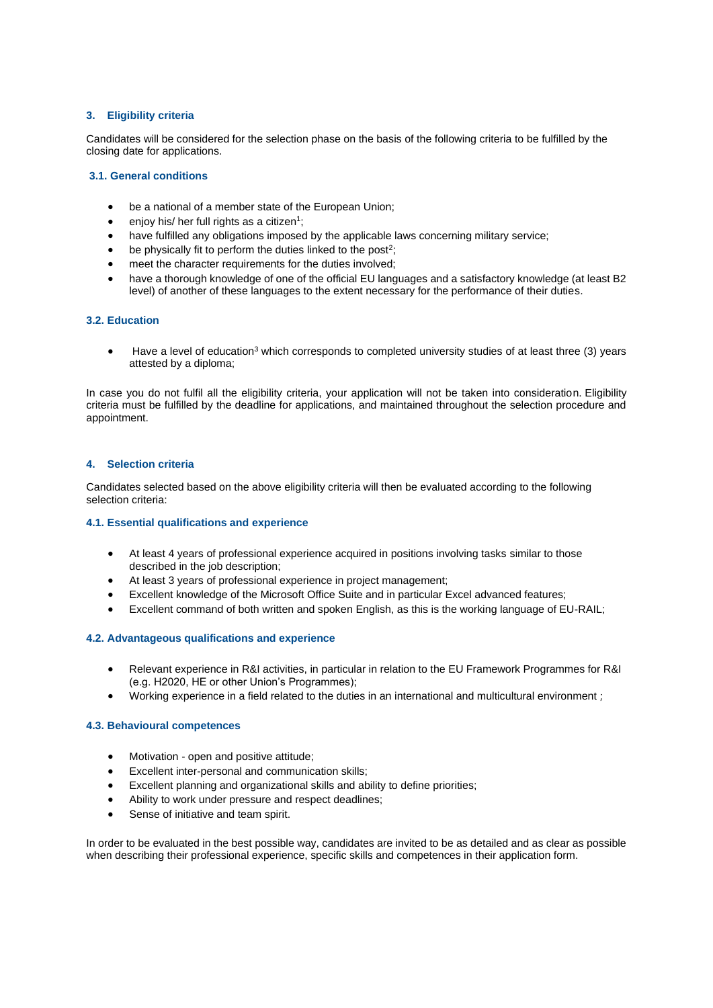# **3. Eligibility criteria**

Candidates will be considered for the selection phase on the basis of the following criteria to be fulfilled by the closing date for applications.

# **3.1. General conditions**

- be a national of a member state of the European Union;
- enjoy his/ her full rights as a citizen<sup>1</sup>;
- have fulfilled any obligations imposed by the applicable laws concerning military service;
- $\bullet$  be physically fit to perform the duties linked to the post<sup>2</sup>;
- meet the character requirements for the duties involved;
- have a thorough knowledge of one of the official EU languages and a satisfactory knowledge (at least B2 level) of another of these languages to the extent necessary for the performance of their duties.

## **3.2. Education**

• Have a level of education<sup>3</sup> which corresponds to completed university studies of at least three (3) years attested by a diploma;

In case you do not fulfil all the eligibility criteria, your application will not be taken into consideration. Eligibility criteria must be fulfilled by the deadline for applications, and maintained throughout the selection procedure and appointment.

## **4. Selection criteria**

Candidates selected based on the above eligibility criteria will then be evaluated according to the following selection criteria:

### **4.1. Essential qualifications and experience**

- At least 4 years of professional experience acquired in positions involving tasks similar to those described in the job description;
- At least 3 years of professional experience in project management;
- Excellent knowledge of the Microsoft Office Suite and in particular Excel advanced features;
- Excellent command of both written and spoken English, as this is the working language of EU-RAIL;

### **4.2. Advantageous qualifications and experience**

- Relevant experience in R&I activities, in particular in relation to the EU Framework Programmes for R&I (e.g. H2020, HE or other Union's Programmes);
- Working experience in a field related to the duties in an international and multicultural environment ;

### **4.3. Behavioural competences**

- Motivation open and positive attitude;
- Excellent inter-personal and communication skills;
- Excellent planning and organizational skills and ability to define priorities;
- Ability to work under pressure and respect deadlines;
- Sense of initiative and team spirit.

In order to be evaluated in the best possible way, candidates are invited to be as detailed and as clear as possible when describing their professional experience, specific skills and competences in their application form.